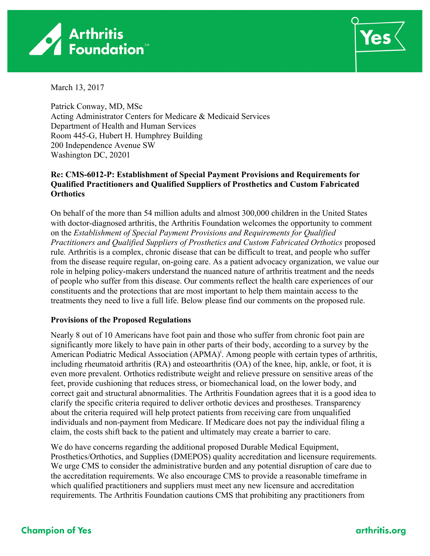



March 13, 2017

Patrick Conway, MD, MSc Acting Administrator Centers for Medicare & Medicaid Services Department of Health and Human Services Room 445-G, Hubert H. Humphrey Building 200 Independence Avenue SW Washington DC, 20201

## **Re: CMS-6012-P: Establishment of Special Payment Provisions and Requirements for Qualified Practitioners and Qualified Suppliers of Prosthetics and Custom Fabricated Orthotics**

On behalf of the more than 54 million adults and almost 300,000 children in the United States with doctor-diagnosed arthritis, the Arthritis Foundation welcomes the opportunity to comment on the *Establishment of Special Payment Provisions and Requirements for Qualified Practitioners and Qualified Suppliers of Prosthetics and Custom Fabricated Orthotics* proposed rule*.* Arthritis is a complex, chronic disease that can be difficult to treat, and people who suffer from the disease require regular, on-going care. As a patient advocacy organization, we value our role in helping policy-makers understand the nuanced nature of arthritis treatment and the needs of people who suffer from this disease. Our comments reflect the health care experiences of our constituents and the protections that are most important to help them maintain access to the treatments they need to live a full life. Below please find our comments on the proposed rule.

## **Provisions of the Proposed Regulations**

Nearly 8 out of 10 Americans have foot pain and those who suffer from chronic foot pain are significantly more likely to have pain in other parts of their body, according to a survey by the American Podiatric Medical Association (APMA)<sup>1</sup>. Among people with certain types of arthritis, including rheumatoid arthritis (RA) and osteoarthritis (OA) of the knee, hip, ankle, or foot, it is even more prevalent. Orthotics redistribute weight and relieve pressure on sensitive areas of the feet, provide cushioning that reduces stress, or biomechanical load, on the lower body, and correct gait and structural abnormalities. The Arthritis Foundation agrees that it is a good idea to clarify the specific criteria required to deliver orthotic devices and prostheses. Transparency about the criteria required will help protect patients from receiving care from unqualified individuals and non-payment from Medicare. If Medicare does not pay the individual filing a claim, the costs shift back to the patient and ultimately may create a barrier to care.

We do have concerns regarding the additional proposed Durable Medical Equipment, Prosthetics/Orthotics, and Supplies (DMEPOS) quality accreditation and licensure requirements. We urge CMS to consider the administrative burden and any potential disruption of care due to the accreditation requirements. We also encourage CMS to provide a reasonable timeframe in which qualified practitioners and suppliers must meet any new licensure and accreditation requirements. The Arthritis Foundation cautions CMS that prohibiting any practitioners from

## arthritis.ora